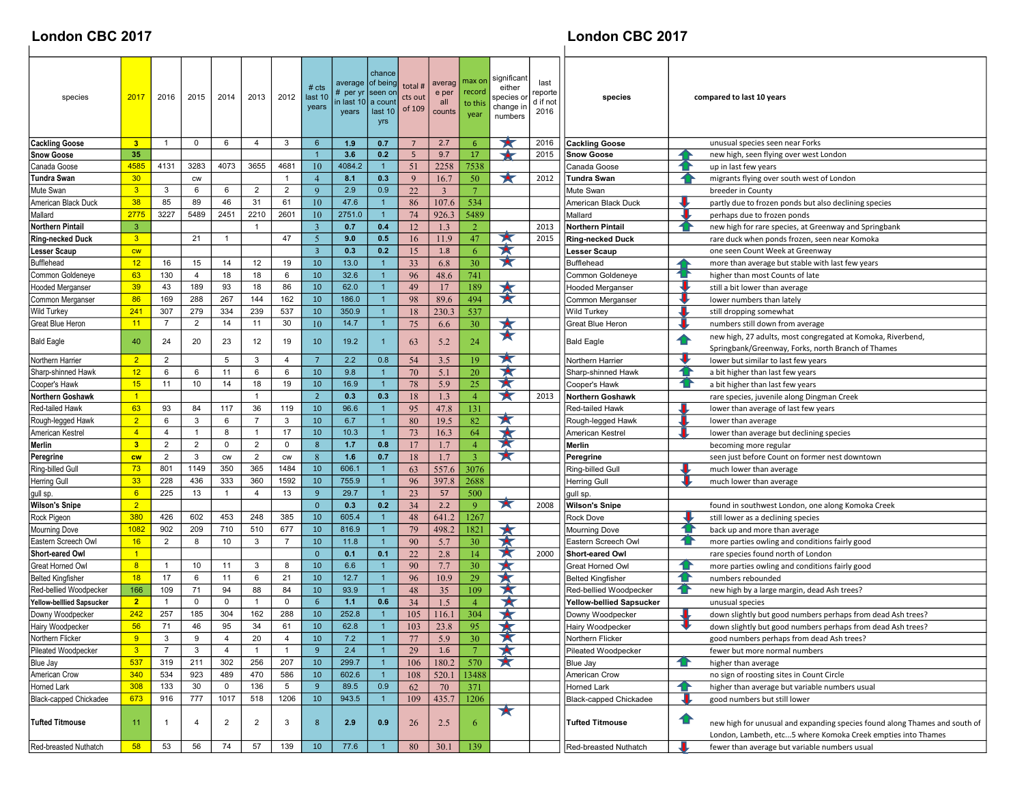## London CBC 2017 London CBC 2017

| species                       | 2017           | 2016                             | 2015                       | 2014           | 2013           | 2012            | # $cts$<br>last 10<br>years | average<br># per y<br>in last 10<br>years | chance<br>of being<br>seen or<br>a coun<br>last 10<br>yrs | total #<br>cts out<br>of 109 | averag<br>e per<br>all<br>counts | max on<br>record<br>to thi<br>year | significan<br>either<br>species or<br>change in<br>numbers | last<br>reporte<br>d if not<br>2016 | species                         |    | compared to last 10 years                                                                                                                  |
|-------------------------------|----------------|----------------------------------|----------------------------|----------------|----------------|-----------------|-----------------------------|-------------------------------------------|-----------------------------------------------------------|------------------------------|----------------------------------|------------------------------------|------------------------------------------------------------|-------------------------------------|---------------------------------|----|--------------------------------------------------------------------------------------------------------------------------------------------|
| <b>Cackling Goose</b>         | 3 <sup>2</sup> | $\mathbf{1}$                     | 0                          | 6              | $\overline{4}$ | 3               | $6\phantom{1}6$             | 1.9                                       | 0.7                                                       | $\overline{7}$               | 2.7                              | 6                                  |                                                            | 2016                                | <b>Cackling Goose</b>           |    | unusual species seen near Forks                                                                                                            |
| Snow Goose                    | 35             |                                  |                            |                |                |                 | $\overline{1}$              | 3.6                                       | 0.2                                                       | $5\phantom{.0}$              | 9.7                              | 17                                 | ↞                                                          | 2015                                | <b>Snow Goose</b>               |    | new high, seen flying over west London                                                                                                     |
| Canada Goose                  | 4585           | 4131                             | 3283                       | 4073           | 3655           | 4681            | 10                          | 4084.2                                    | $\mathbf{1}$                                              | 51                           | 2258                             | 7538                               |                                                            |                                     | Canada Goose                    |    | up in last few years                                                                                                                       |
| Tundra Swan                   | 30             |                                  | ${\sf\small{\textsf{CW}}}$ |                |                | 1               | $\overline{4}$              | 8.1                                       | 0.3                                                       | 9                            | 16.7                             | 50                                 | ★                                                          | 2012                                | Tundra Swan                     |    | migrants flying over south west of London                                                                                                  |
| Mute Swan                     | 3 <sup>2</sup> | 3                                | 6                          | 6              | $\overline{2}$ | $\overline{2}$  | 9                           | 2.9                                       | 0.9                                                       | 22                           | $\overline{3}$                   | $7\phantom{.0}$                    |                                                            |                                     | Mute Swan                       |    | breeder in County                                                                                                                          |
| American Black Duck           | 38             | 85                               | 89                         | 46             | 31             | 61              | 10                          | 47.6                                      | $\overline{1}$                                            | 86                           | 107.6                            | 534                                |                                                            |                                     | American Black Duck             |    | partly due to frozen ponds but also declining species                                                                                      |
| Mallard                       | 2775           | 3227                             | 5489                       | 2451           | 2210           | 2601            | 10                          | 2751.0                                    | $\overline{1}$                                            | 74                           | 926.3                            | 5489                               |                                                            |                                     | Mallard                         |    | perhaps due to frozen ponds                                                                                                                |
| Northern Pintail              | $\mathbf{3}$   |                                  |                            |                | $\overline{1}$ |                 | $\overline{3}$              | 0.7                                       | 0.4                                                       | 12                           | 1.3                              | $\overline{2}$                     |                                                            | 2013                                | <b>Northern Pintail</b>         |    | new high for rare species, at Greenway and Springbank                                                                                      |
| <b>Ring-necked Duck</b>       | 3 <sup>°</sup> |                                  | 21                         | $\overline{1}$ |                | 47              | 5                           | 9.0                                       | 0.5                                                       | 16                           | 11.9                             | 47                                 | ★                                                          | 2015                                | <b>Ring-necked Duck</b>         |    | rare duck when ponds frozen, seen near Komoka                                                                                              |
| Lesser Scaup                  | cw             |                                  |                            |                |                |                 | $\overline{\mathbf{3}}$     | 0.3                                       | 0.2                                                       | 15                           | 1.8                              | 6                                  | ★                                                          |                                     | <b>Lesser Scaup</b>             |    | one seen Count Week at Greenway                                                                                                            |
| Bufflehead                    | 12             | 16                               | 15                         | 14             | 12             | 19              | 10                          | 13.0                                      | $\mathbf{1}$                                              | 33                           | 6.8                              | 30                                 | ★                                                          |                                     | Bufflehead                      |    | more than average but stable with last few years                                                                                           |
| Common Goldeneye              | 63             | 130                              | 4                          | 18             | 18             | 6               | 10                          | 32.6                                      | $\overline{1}$                                            | 96                           | 48.6                             | 741                                |                                                            |                                     | Common Goldeneye                |    | higher than most Counts of late                                                                                                            |
| <b>Hooded Merganser</b>       | 39             | 43                               | 189                        | 93             | 18             | 86              | 10                          | 62.0                                      | $\overline{1}$                                            | 49                           | 17                               | 189                                | $\bigstar$                                                 |                                     | <b>Hooded Merganser</b>         |    | still a bit lower than average                                                                                                             |
| Common Merganse               | 86             | 169                              | 288                        | 267            | 144            | 162             | 10                          | 186.0                                     |                                                           | 98                           | 89.6                             | 494                                | $\star$                                                    |                                     | Common Merganser                |    | lower numbers than lately                                                                                                                  |
| Wild Turkey                   | 241            | 307                              | 279                        | 334            | 239            | 537             | 10                          | 350.9                                     | $\overline{1}$                                            | 18                           | 230.3                            | 537                                |                                                            |                                     | <b>Wild Turkey</b>              |    | still dropping somewhat                                                                                                                    |
| Great Blue Heron              | 11             | $\overline{7}$                   | $\overline{2}$             | 14             | 11             | 30              | 10                          | 14.7                                      |                                                           | 75                           | 6.6                              | 30                                 | ★                                                          |                                     | Great Blue Heron                |    | numbers still down from average                                                                                                            |
| <b>Bald Eagle</b>             | 40             | 24                               | 20                         | 23             | 12             | 19              | 10                          | 19.2                                      |                                                           | 63                           | 5.2                              | 24                                 | $\star$                                                    |                                     | <b>Bald Eagle</b>               | Ð  | new high, 27 adults, most congregated at Komoka, Riverbend,<br>Springbank/Greenway, Forks, north Branch of Thames                          |
| Northern Harrier              | $\overline{2}$ | $\overline{2}$                   |                            | 5              | 3              | 4               | $\overline{7}$              | 2.2                                       | 0.8                                                       | 54                           | 3.5                              | 19                                 | ★                                                          |                                     | Northern Harrier                |    | lower but similar to last few years                                                                                                        |
| Sharp-shinned Hawk            | 12             | 6                                | 6                          | 11             | 6              | 6               | 10                          | 9.8                                       | $\overline{1}$                                            | 70                           | 5.1                              | 20                                 | 大                                                          |                                     | Sharp-shinned Hawk              | 10 | a bit higher than last few years                                                                                                           |
| Cooper's Hawk                 | 15             | 11                               | 10                         | 14             | 18             | 19              | 10                          | 16.9                                      | $\overline{1}$                                            | 78                           | 5.9                              | 25                                 | 大                                                          |                                     | Cooper's Hawk                   |    | a bit higher than last few years                                                                                                           |
| Northern Goshawk              | $\vert$ 1      |                                  |                            |                | $\overline{1}$ |                 | $\overline{2}$              | 0.3                                       | 0.3                                                       |                              | 1.3                              | $\overline{4}$                     | ★                                                          | 2013                                |                                 |    |                                                                                                                                            |
| <b>Red-tailed Hawk</b>        | 63             | 93                               | 84                         | 117            | 36             | 119             | 10                          | 96.6                                      |                                                           | 18                           |                                  |                                    |                                                            |                                     | <b>Northern Goshawk</b>         |    | rare species, juvenile along Dingman Creek                                                                                                 |
|                               | $\overline{2}$ | 6                                | 3                          | 6              | $\overline{7}$ | 3               | 10                          | 6.7                                       | $\overline{1}$                                            | 95                           | 47.8                             | 131<br>82                          | 大                                                          |                                     | Red-tailed Hawk                 |    | lower than average of last few years                                                                                                       |
| Rough-legged Hawk             | $\overline{4}$ | 4                                | $\mathbf{1}$               | 8              | $\overline{1}$ | 17              | 10                          | 10.3                                      | $\overline{1}$                                            | 80                           | 19.5                             |                                    | $\star$                                                    |                                     | Rough-legged Hawk               |    | lower than average                                                                                                                         |
| American Kestrel              | 3 <sup>2</sup> |                                  | $\overline{2}$             | $\mathbf 0$    | 2              | $\mathbf 0$     | 8                           | 1.7                                       | 0.8                                                       | 73<br>17                     | 16.3                             | 64<br>$\overline{4}$               | 大                                                          |                                     | American Kestrel                |    | lower than average but declining species                                                                                                   |
| Merlin                        |                | $\overline{2}$<br>$\overline{2}$ | 3                          |                | $\overline{2}$ |                 |                             | 1.6                                       | 0.7                                                       |                              | 1.7<br>1.7                       | $\mathbf{3}$                       | ¥                                                          |                                     | Merlin                          |    | becoming more regular                                                                                                                      |
| Peregrine                     | <b>CW</b>      |                                  |                            | <b>CW</b>      |                | <b>CW</b>       | $8\phantom{1}$              |                                           |                                                           | 18                           |                                  |                                    |                                                            |                                     | Peregrine                       |    | seen just before Count on former nest downtown                                                                                             |
| Ring-billed Gull              | 73             | 801                              | 1149                       | 350            | 365            | 1484            | 10                          | 606.1                                     | $\overline{1}$                                            | 63                           | 557.6                            | 3076                               |                                                            |                                     | Ring-billed Gull                |    | much lower than average                                                                                                                    |
| <b>Herring Gull</b>           | 33             | 228                              | 436                        | 333            | 360            | 1592            | 10                          | 755.9                                     | $\overline{1}$                                            | 96                           | 397.8                            | 2688                               |                                                            |                                     | <b>Herring Gull</b>             |    | much lower than average                                                                                                                    |
| gull sp.                      | 6              | 225                              | 13                         | $\overline{1}$ | $\overline{4}$ | 13              | 9                           | 29.7                                      | -1                                                        | 23                           | 57                               | 500                                | $\blacktriangleright$                                      |                                     | gull sp.                        |    |                                                                                                                                            |
| Wilson's Snipe                | $\overline{2}$ |                                  |                            |                |                |                 | $\mathbf{0}$                | 0.3                                       | 0.2                                                       | 34                           | 2.2                              | 9                                  |                                                            | 2008                                | <b>Wilson's Snipe</b>           |    | found in southwest London, one along Komoka Creek                                                                                          |
| Rock Pigeon                   | 380            | 426                              | 602                        | 453            | 248            | 385             | 10                          | 605.4                                     |                                                           | 48                           | 641.2                            | 1267                               |                                                            |                                     | <b>Rock Dove</b>                |    | still lower as a declining species                                                                                                         |
| Mourning Dove                 | <b>1082</b>    | 902                              | 209                        | 710            | 510            | 677             | 10                          | 816.9                                     | $\overline{1}$                                            | 79                           | 498.2                            | 1821                               | 大                                                          |                                     | <b>Mourning Dove</b>            |    | back up and more than average                                                                                                              |
| Eastern Screech Owl           | 16             | $\overline{2}$                   | 8                          | 10             | 3              | $\overline{7}$  | 10                          | 11.8                                      | $\overline{1}$                                            | 90                           | 5.7                              | 30                                 | 大                                                          |                                     | Eastern Screech Owl             |    | more parties owling and conditions fairly good                                                                                             |
| Short-eared Owl               | $\mathbf{1}$   |                                  |                            |                |                |                 | $\mathbf{0}$                | 0.1                                       | 0.1                                                       | 22                           | 2.8                              | 14                                 | 大                                                          | 2000                                | <b>Short-eared Owl</b>          |    | rare species found north of London                                                                                                         |
| Great Horned Owl              | 8              | $\overline{1}$                   | 10                         | 11             | 3              | 8               | 10                          | 6.6                                       | $\mathbf{1}$                                              | 90                           | 7.7                              | 30                                 | ★                                                          |                                     | Great Horned Owl                | Ð  | more parties owling and conditions fairly good                                                                                             |
| <b>Belted Kingfisher</b>      | 18             | 17                               | 6                          | 11             | 6              | 21              | 10                          | 12.7                                      | $\mathbf{1}$                                              | 96                           | 10.9                             | 29                                 | ★                                                          |                                     | <b>Belted Kingfisher</b>        | 10 | numbers rebounded                                                                                                                          |
| Red-bellied Woodpecker        | 166            | 109                              | 71                         | 94             | 88             | 84              | 10                          | 93.9                                      | $\overline{1}$                                            | 48                           | 35                               | 109                                | X                                                          |                                     | Red-bellied Woodpecker          | Ð  | new high by a large margin, dead Ash trees?                                                                                                |
| Yellow-belllied Sapsucker     | $\overline{2}$ | $\overline{1}$                   | 0                          | 0              | $\overline{1}$ | 0               | 6                           | 1.1                                       | 0.6                                                       | 34                           | 1.5                              | $\overline{4}$                     | ★                                                          |                                     | <b>Yellow-bellied Sapsucker</b> |    | unusual species                                                                                                                            |
| Downy Woodpecker              | 242            | 257                              | 185                        | 304            | 162            | 288             | 10                          | 252.8                                     |                                                           | 105                          | 116.1                            | 304                                |                                                            |                                     | Downy Woodpecker                |    | down slightly but good numbers perhaps from dead Ash trees?                                                                                |
| Hairy Woodpecker              | 56             | 71                               | 46                         | 95             | 34             | 61              | 10                          | 62.8                                      |                                                           | 103                          | 23.8                             | 95                                 |                                                            |                                     | Hairy Woodpecker                |    | down slightly but good numbers perhaps from dead Ash trees?                                                                                |
| Northern Flicker              | 9              | 3                                | y                          | 4              | 20             | 4               | 10                          | 7.2                                       |                                                           | 77                           | 5.9                              | 30                                 | А                                                          |                                     | Northern Flicker                |    | good numbers perhaps from dead Ash trees?                                                                                                  |
| Pileated Woodpecker           | 3 <sup>2</sup> | $\overline{7}$                   | 3                          | $\overline{4}$ | $\overline{1}$ | $\mathbf{1}$    | 9                           | 2.4                                       | -1                                                        | 29                           | 1.6                              | $7\phantom{.0}$                    | ★                                                          |                                     | Pileated Woodpecker             |    | fewer but more normal numbers                                                                                                              |
| Blue Jay                      | 537            | 319                              | 211                        | 302            | 256            | 207             | 10                          | 299.7                                     | $\mathbf 1$                                               | 106                          | 180.2                            | 570                                | ★                                                          |                                     | Blue Jay                        | œ  | higher than average                                                                                                                        |
| American Crow                 | 340            | 534                              | 923                        | 489            | 470            | 586             | 10                          | 602.6                                     | $\overline{1}$                                            | 108                          | 520.1                            | 13488                              |                                                            |                                     | American Crow                   |    | no sign of roosting sites in Count Circle                                                                                                  |
| Horned Lark                   | 308            | 133                              | 30                         | $\mathbf 0$    | 136            | $5\overline{)}$ | 9                           | 89.5                                      | 0.9                                                       | 62                           | 70                               | 371                                |                                                            |                                     | Horned Lark                     | Ð  | higher than average but variable numbers usual                                                                                             |
| <b>Black-capped Chickadee</b> | 673            | 916                              | 777                        | 1017           | 518            | 1206            | 10                          | 943.5                                     | $\overline{1}$                                            | 109                          | 435.7                            | 1206                               |                                                            |                                     | Black-capped Chickadee          |    | good numbers but still lower                                                                                                               |
| Tufted Titmouse               | 11             | -1                               | 4                          | $\overline{2}$ | $\overline{2}$ | 3               | 8                           | 2.9                                       | 0.9                                                       | 26                           | 2.5                              | 6                                  | ★                                                          |                                     | <b>Tufted Titmouse</b>          | 企  | new high for unusual and expanding species found along Thames and south of<br>London, Lambeth, etc5 where Komoka Creek empties into Thames |
| Red-breasted Nuthatch         | 58             | 53                               | 56                         | 74             | 57             | 139             | 10                          | 77.6                                      |                                                           | 80                           | 30.1                             | 139                                |                                                            |                                     | Red-breasted Nuthatch           |    | fewer than average but variable numbers usual                                                                                              |
|                               |                |                                  |                            |                |                |                 |                             |                                           |                                                           |                              |                                  |                                    |                                                            |                                     |                                 |    |                                                                                                                                            |